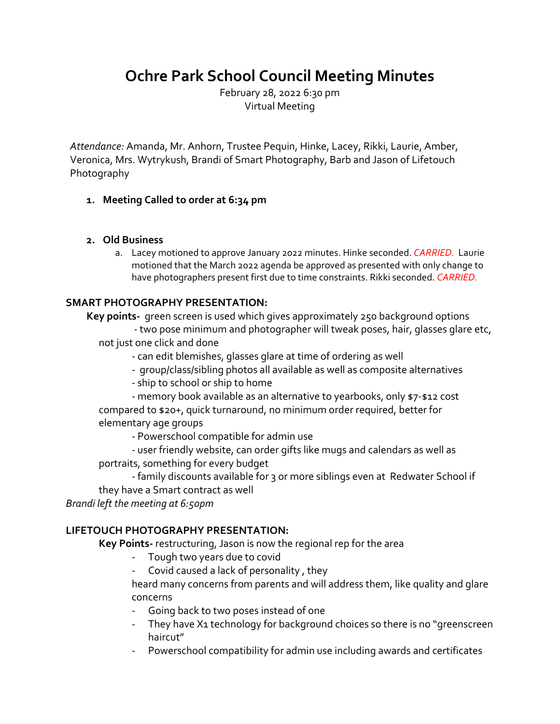# **Ochre Park School Council Meeting Minutes**

February 28, 2022 6:30 pm Virtual Meeting

*Attendance:* Amanda, Mr. Anhorn, Trustee Pequin, Hinke, Lacey, Rikki, Laurie, Amber, Veronica, Mrs. Wytrykush, Brandi of Smart Photography, Barb and Jason of Lifetouch Photography

## **1. Meeting Called to order at 6:34 pm**

### **2. Old Business**

a. Lacey motioned to approve January 2022 minutes. Hinke seconded. *CARRIED.* Laurie motioned that the March 2022 agenda be approved as presented with only change to have photographers present first due to time constraints. Rikki seconded. *CARRIED.* 

## **SMART PHOTOGRAPHY PRESENTATION:**

**Key points-** green screen is used which gives approximately 250 background options - two pose minimum and photographer will tweak poses, hair, glasses glare etc, not just one click and done

- can edit blemishes, glasses glare at time of ordering as well
- group/class/sibling photos all available as well as composite alternatives
- ship to school or ship to home

- memory book available as an alternative to yearbooks, only \$7-\$12 cost compared to \$20+, quick turnaround, no minimum order required, better for elementary age groups

- Powerschool compatible for admin use

- user friendly website, can order gifts like mugs and calendars as well as portraits, something for every budget

- family discounts available for 3 or more siblings even at Redwater School if they have a Smart contract as well

*Brandi left the meeting at 6:50pm*

# **LIFETOUCH PHOTOGRAPHY PRESENTATION:**

**Key Points-** restructuring, Jason is now the regional rep for the area

- Tough two years due to covid
- Covid caused a lack of personality, they

heard many concerns from parents and will address them, like quality and glare concerns

- Going back to two poses instead of one
- They have X1 technology for background choices so there is no "greenscreen haircut"
- Powerschool compatibility for admin use including awards and certificates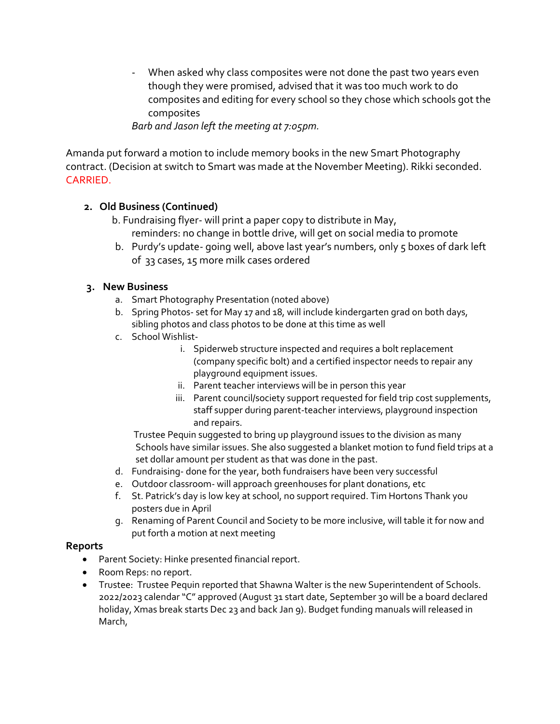When asked why class composites were not done the past two years even though they were promised, advised that it was too much work to do composites and editing for every school so they chose which schools got the composites

*Barb and Jason left the meeting at 7:05pm.* 

Amanda put forward a motion to include memory books in the new Smart Photography contract. (Decision at switch to Smart was made at the November Meeting). Rikki seconded. CARRIED.

## **2. Old Business (Continued)**

- b. Fundraising flyer- will print a paper copy to distribute in May, reminders: no change in bottle drive, will get on social media to promote
- b. Purdy's update- going well, above last year's numbers, only 5 boxes of dark left of 33 cases, 15 more milk cases ordered

## **3. New Business**

- a. Smart Photography Presentation (noted above)
- b. Spring Photos- set for May 17 and 18, will include kindergarten grad on both days, sibling photos and class photos to be done at this time as well
- c. School Wishlist
	- i. Spiderweb structure inspected and requires a bolt replacement (company specific bolt) and a certified inspector needs to repair any playground equipment issues.
	- ii. Parent teacher interviews will be in person this year
	- iii. Parent council/society support requested for field trip cost supplements, staff supper during parent-teacher interviews, playground inspection and repairs.

Trustee Pequin suggested to bring up playground issues to the division as many Schools have similar issues. She also suggested a blanket motion to fund field trips at a set dollar amount per student as that was done in the past.

- d. Fundraising- done for the year, both fundraisers have been very successful
- e. Outdoor classroom- will approach greenhouses for plant donations, etc
- f. St. Patrick's day is low key at school, no support required. Tim Hortons Thank you posters due in April
- g. Renaming of Parent Council and Society to be more inclusive, will table it for now and put forth a motion at next meeting

### **Reports**

- Parent Society: Hinke presented financial report.
- Room Reps: no report.
- Trustee: Trustee Pequin reported that Shawna Walter is the new Superintendent of Schools. 2022/2023 calendar "C" approved (August 31 start date, September 30 will be a board declared holiday, Xmas break starts Dec 23 and back Jan 9). Budget funding manuals will released in March,